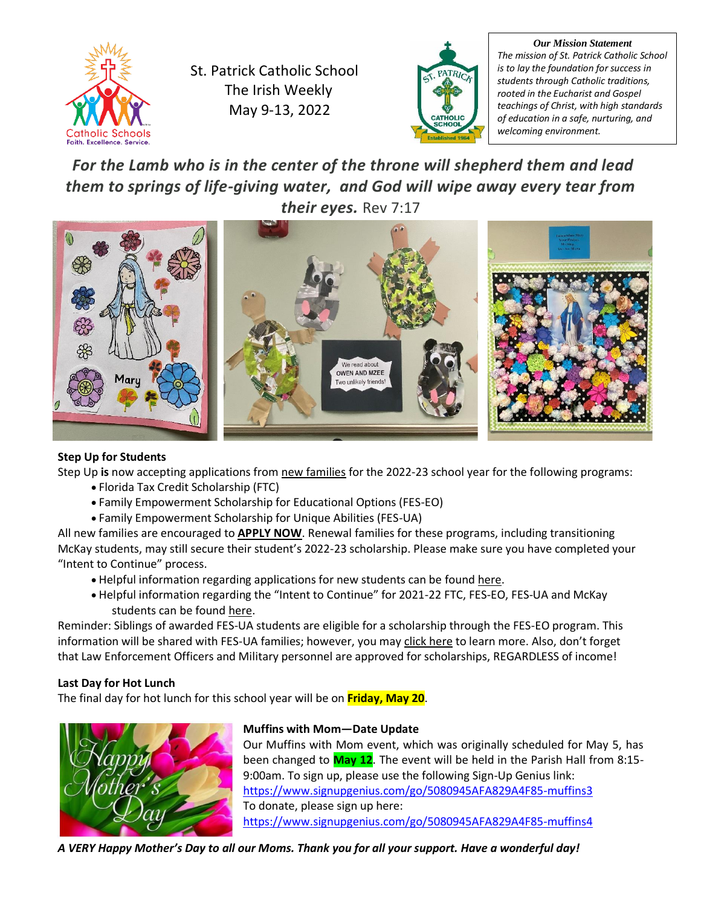

St. Patrick Catholic School The Irish Weekly May 9-13, 2022



*Our Mission Statement The mission of St. Patrick Catholic School is to lay the foundation for success in students through Catholic traditions, rooted in the Eucharist and Gospel teachings of Christ, with high standards of education in a safe, nurturing, and welcoming environment.*

# *For the Lamb who is in the center of the throne will shepherd them and lead them to springs of life-giving water, and God will wipe away every tear from their eyes.* Rev 7:17



# **Step Up for Students**

Step Up **is** now accepting applications from new families for the 2022-23 school year for the following programs:

- Florida Tax Credit Scholarship (FTC)
- Family Empowerment Scholarship for Educational Options (FES-EO)
- Family Empowerment Scholarship for Unique Abilities (FES-UA)

All new families are encouraged to **APPLY NOW**. Renewal families for these programs, including transitioning McKay students, may still secure their student's 2022-23 scholarship. Please make sure you have completed your "Intent to Continue" process.

- Helpful information regarding applications for new students can be found [here.](https://go.stepupforstudents.org/e3t/Ctc/DI+113/cdJM204/VVKdgR2jR9fLW27Jhd0488j3mW4vJbXQ4JB2P3MhPPSL3lLCfV1-WJV7CgRhzW6058qf4r01KGW81NcYX2B29vYVbWN5W7QmHpZW3DKtSh1q1twqW4FyYYJ1FtjhHW8KH01k1N3W37VHpNQ62JrKVnMKvBdZGt1htW35rLGC31yvk5W1HPJ3j6CTcn3N2BKTCJ63qgTW2ZYf6c6M69--W51Gh8c6CcvlGW68xfv95J954TW4QywG673lndRN1t87-p1TdpGW3nPpKK6HHFSzN6Sf9v1gv_v4MmnKwVT6qLgW9gjYy57N8y6fN6kKQXvlfTBzW6FsnH16HxkKsW7636vj4TzjDrVV622j58jTkfW4rLWqF4wnxLsN7pcM61N0tGMW2sqrnd3-158HMlQp5_FGZxR33gR1)
- Helpful information regarding the "Intent to Continue" for 2021-22 FTC, FES-EO, FES-UA and McKay students can be found [here.](https://go.stepupforstudents.org/e3t/Ctc/DI+113/cdJM204/VVKdgR2jR9fLW27Jhd0488j3mW4vJbXQ4JB2P3MhPPSL3lLCfV1-WJV7CgTtmVnvlDR2WSb7xV_DHCp1J9Dd9VcbhLb36nblLVkLbQX3F788PW1Yf_lq9dbJT0W1M0nN42l2Hd5W83FdmM4nBm54W6w-HYR202YDVW3X1M_f34RsJYN2BPlyTxhV8TW7X3WZB19kRl7MvBQJw_lt6FW786r2H3YxRgbW6NljWJ5QRfL5W7VNMYP29dKnjW3dzpbn216M4JW2xJ5k04xxDcqVkgCff8VzyJXW6kKmM08ks5DgW86Lz9-4fH8HNW7DJP1-2yCRNRVJpNBr8dDzJnW503Gfk6SF933W3FwfL-4r5C4pVwL_TC1hCzKkN1lvgyp4mngqW8DwVV177pwZ3W7XDMrD43nYkk3pC61)

Reminder: Siblings of awarded FES-UA students are eligible for a scholarship through the FES-EO program. This information will be shared with FES-UA families; however, you may [click here](https://go.stepupforstudents.org/e3t/Ctc/DI+113/cdJM204/VVKdgR2jR9fLW27Jhd0488j3mW4vJbXQ4JB2P3MhPPSL3lLCfV1-WJV7CgSs5W3hFx6G7ff6bVW4cD8gW4gMM9zW49j4612yJYQlW1wcyVB71jWdZV8_lk-57KX4HW2sFWqP6yH00CW8ZcYw858mrb3W1fHySG6CQrSTVL_Msf5tW5K4W5ZRnNx8xzNBFW4MThXl6JDB3cM3xzrrqP5mqN8MNQgzMsG9xW298qcz77gBjvW39gqDY4R3txZW5J6wv16kBVwXW8lPPfH898RQsW3BjZ-F6ndBHDW75HcXS8zHYw8N7NM0ncGpcVRW7_Lt3j16Kl9rV5PygY47f31DW4GTqyL8Dgg_nN1Y7z0FhNq4RW7ZB0Vk3dFxTZW2-56pB1zMYL1V8bL_L78jRZ4W6-R67m7wtZ9c31651) to learn more. Also, don't forget that Law Enforcement Officers and Military personnel are approved for scholarships, REGARDLESS of income!

# **Last Day for Hot Lunch**

The final day for hot lunch for this school year will be on **Friday, May 20**.



# **Muffins with Mom—Date Update**

Our Muffins with Mom event, which was originally scheduled for May 5, has been changed to **May 12**. The event will be held in the Parish Hall from 8:15- 9:00am. To sign up, please use the following Sign-Up Genius link: <https://www.signupgenius.com/go/5080945AFA829A4F85-muffins3> To donate, please sign up here: <https://www.signupgenius.com/go/5080945AFA829A4F85-muffins4>

*A VERY Happy Mother's Day to all our Moms. Thank you for all your support. Have a wonderful day!*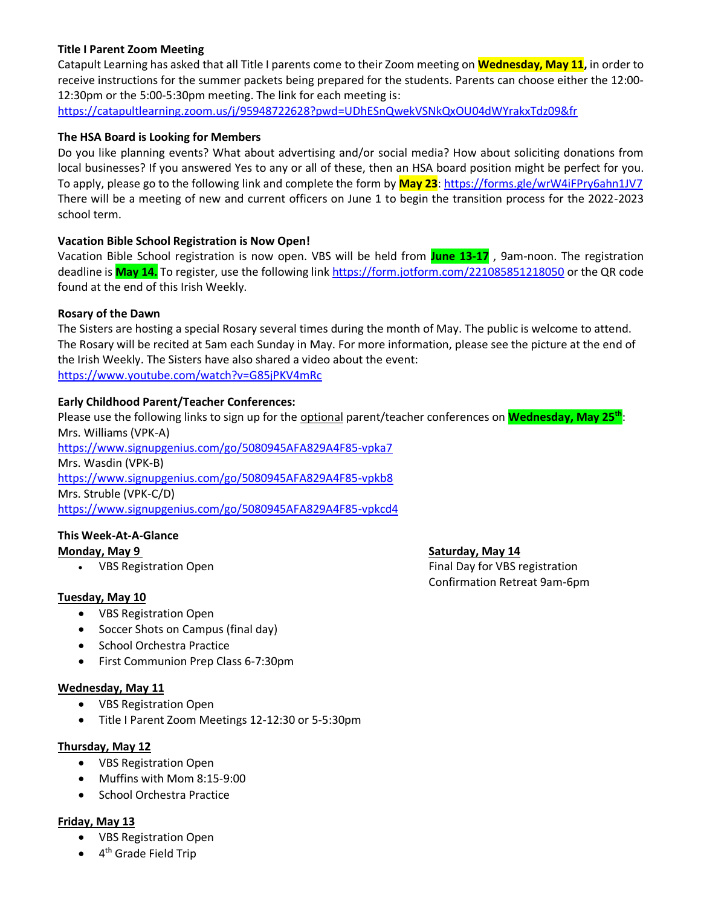## **Title I Parent Zoom Meeting**

Catapult Learning has asked that all Title I parents come to their Zoom meeting on **Wednesday, May 11,** in order to receive instructions for the summer packets being prepared for the students. Parents can choose either the 12:00- 12:30pm or the 5:00-5:30pm meeting. The link for each meeting is:

<https://catapultlearning.zoom.us/j/95948722628?pwd=UDhESnQwekVSNkQxOU04dWYrakxTdz09&fr>

#### **The HSA Board is Looking for Members**

Do you like planning events? What about advertising and/or social media? How about soliciting donations from local businesses? If you answered Yes to any or all of these, then an HSA board position might be perfect for you. To apply, please go to the following link and complete the form by **May 23**:<https://forms.gle/wrW4iFPry6ahn1JV7> There will be a meeting of new and current officers on June 1 to begin the transition process for the 2022-2023 school term.

### **Vacation Bible School Registration is Now Open!**

Vacation Bible School registration is now open. VBS will be held from **June 13-17** , 9am-noon. The registration deadline is **May 14.** To register, use the following link<https://form.jotform.com/221085851218050> or the QR code found at the end of this Irish Weekly.

#### **Rosary of the Dawn**

The Sisters are hosting a special Rosary several times during the month of May. The public is welcome to attend. The Rosary will be recited at 5am each Sunday in May. For more information, please see the picture at the end of the Irish Weekly. The Sisters have also shared a video about the event: <https://www.youtube.com/watch?v=G85jPKV4mRc>

#### **Early Childhood Parent/Teacher Conferences:**

Please use the following links to sign up for the optional parent/teacher conferences on **Wednesday, May 25th**: Mrs. Williams (VPK-A)

<https://www.signupgenius.com/go/5080945AFA829A4F85-vpka7> Mrs. Wasdin (VPK-B)

<https://www.signupgenius.com/go/5080945AFA829A4F85-vpkb8>

Mrs. Struble (VPK-C/D)

<https://www.signupgenius.com/go/5080945AFA829A4F85-vpkcd4>

# **This Week-At-A-Glance**

### **Tuesday, May 10**

- VBS Registration Open
- Soccer Shots on Campus (final day)
- School Orchestra Practice
- First Communion Prep Class 6-7:30pm

#### **Wednesday, May 11**

- VBS Registration Open
- Title I Parent Zoom Meetings 12-12:30 or 5-5:30pm

### **Thursday, May 12**

- VBS Registration Open
- Muffins with Mom 8:15-9:00
- School Orchestra Practice

### **Friday, May 13**

- VBS Registration Open
- 4<sup>th</sup> Grade Field Trip

# **Monday, May 9 Saturday, May 14**

• VBS Registration Open **Final Day for VBS registration** Confirmation Retreat 9am-6pm